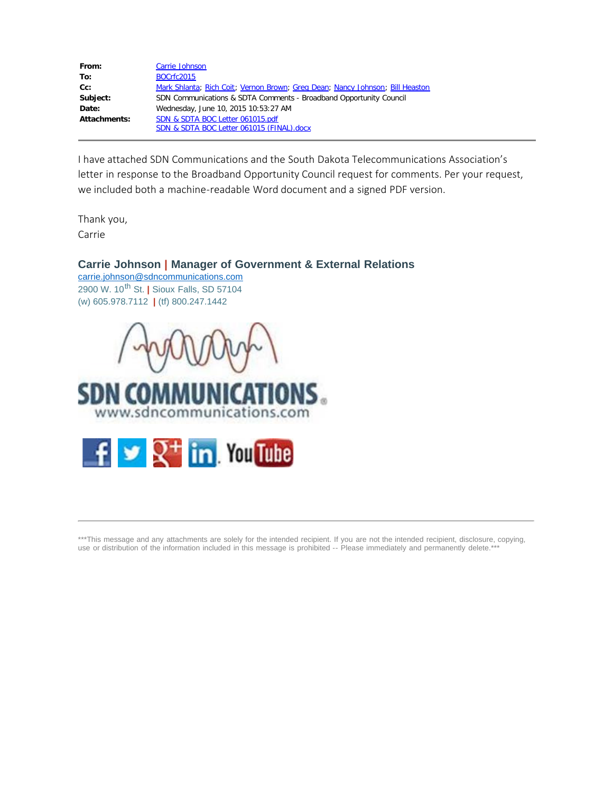| From:        | Carrie Johnson                                                                |
|--------------|-------------------------------------------------------------------------------|
| To:          | <b>BOCrfc2015</b>                                                             |
| Cc:          | Mark Shlanta; Rich Coit; Vernon Brown; Greg Dean; Nancy Johnson; Bill Heaston |
| Subject:     | SDN Communications & SDTA Comments - Broadband Opportunity Council            |
| Date:        | Wednesday, June 10, 2015 10:53:27 AM                                          |
| Attachments: | SDN & SDTA BOC Letter 061015.pdf                                              |
|              | SDN & SDTA BOC Letter 061015 (FINAL).docx                                     |

I have attached SDN Communications and the South Dakota Telecommunications Association's letter in response to the Broadband Opportunity Council request for comments. Per your request, we included both a machine-readable Word document and a signed PDF version.

Thank you, Carrie

### **Carrie Johnson | Manager of Government & External Relations**

[carrie.johnson@sdncommunications.com](mailto:carrie.johnson@sdncommunications.com) 2900 W. 10th St. **|** Sioux Falls, SD 57104 (w) 605.978.7112 **|** (tf) 800.247.1442







\*\*\*This message and any attachments are solely for the intended recipient. If you are not the intended recipient, disclosure, copying, use or distribution of the information included in this message is prohibited -- Please immediately and permanently delete.\*\*\*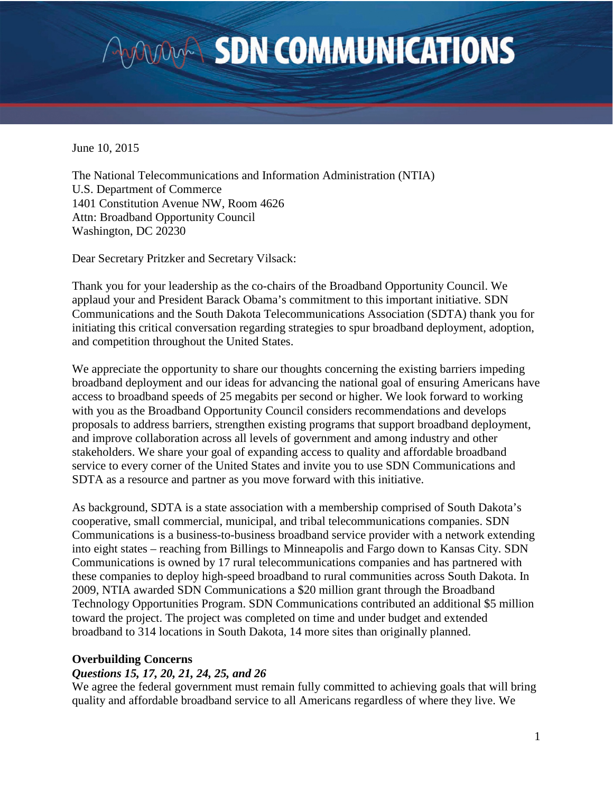# **AVOUADER SDN COMMUNICATIONS**

June 10, 2015

The National Telecommunications and Information Administration (NTIA) U.S. Department of Commerce 1401 Constitution Avenue NW, Room 4626 Attn: Broadband Opportunity Council Washington, DC 20230

Dear Secretary Pritzker and Secretary Vilsack:

Thank you for your leadership as the co-chairs of the Broadband Opportunity Council. We applaud your and President Barack Obama's commitment to this important initiative. SDN Communications and the South Dakota Telecommunications Association (SDTA) thank you for initiating this critical conversation regarding strategies to spur broadband deployment, adoption, and competition throughout the United States.

We appreciate the opportunity to share our thoughts concerning the existing barriers impeding broadband deployment and our ideas for advancing the national goal of ensuring Americans have access to broadband speeds of 25 megabits per second or higher. We look forward to working with you as the Broadband Opportunity Council considers recommendations and develops proposals to address barriers, strengthen existing programs that support broadband deployment, and improve collaboration across all levels of government and among industry and other stakeholders. We share your goal of expanding access to quality and affordable broadband service to every corner of the United States and invite you to use SDN Communications and SDTA as a resource and partner as you move forward with this initiative.

As background, SDTA is a state association with a membership comprised of South Dakota's cooperative, small commercial, municipal, and tribal telecommunications companies. SDN Communications is a business-to-business broadband service provider with a network extending into eight states – reaching from Billings to Minneapolis and Fargo down to Kansas City. SDN Communications is owned by 17 rural telecommunications companies and has partnered with these companies to deploy high-speed broadband to rural communities across South Dakota. In 2009, NTIA awarded SDN Communications a \$20 million grant through the Broadband Technology Opportunities Program. SDN Communications contributed an additional \$5 million toward the project. The project was completed on time and under budget and extended broadband to 314 locations in South Dakota, 14 more sites than originally planned.

### **Overbuilding Concerns**

### *Questions 15, 17, 20, 21, 24, 25, and 26*

We agree the federal government must remain fully committed to achieving goals that will bring quality and affordable broadband service to all Americans regardless of where they live. We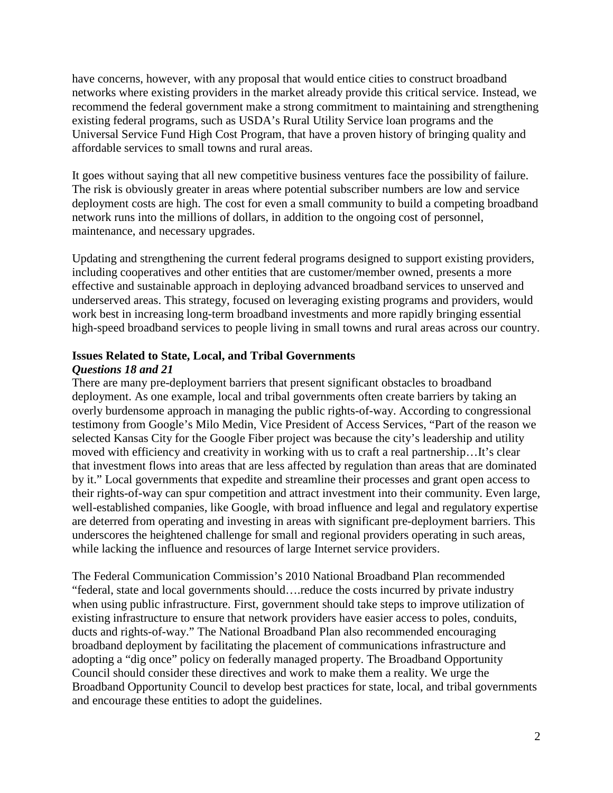have concerns, however, with any proposal that would entice cities to construct broadband networks where existing providers in the market already provide this critical service. Instead, we recommend the federal government make a strong commitment to maintaining and strengthening existing federal programs, such as USDA's Rural Utility Service loan programs and the Universal Service Fund High Cost Program, that have a proven history of bringing quality and affordable services to small towns and rural areas.

It goes without saying that all new competitive business ventures face the possibility of failure. The risk is obviously greater in areas where potential subscriber numbers are low and service deployment costs are high. The cost for even a small community to build a competing broadband network runs into the millions of dollars, in addition to the ongoing cost of personnel, maintenance, and necessary upgrades.

Updating and strengthening the current federal programs designed to support existing providers, including cooperatives and other entities that are customer/member owned, presents a more effective and sustainable approach in deploying advanced broadband services to unserved and underserved areas. This strategy, focused on leveraging existing programs and providers, would work best in increasing long-term broadband investments and more rapidly bringing essential high-speed broadband services to people living in small towns and rural areas across our country.

# **Issues Related to State, Local, and Tribal Governments** *Questions 18 and 21*

There are many pre-deployment barriers that present significant obstacles to broadband deployment. As one example, local and tribal governments often create barriers by taking an overly burdensome approach in managing the public rights-of-way. According to congressional testimony from Google's Milo Medin, Vice President of Access Services, "Part of the reason we selected Kansas City for the Google Fiber project was because the city's leadership and utility moved with efficiency and creativity in working with us to craft a real partnership…It's clear that investment flows into areas that are less affected by regulation than areas that are dominated by it." Local governments that expedite and streamline their processes and grant open access to their rights-of-way can spur competition and attract investment into their community. Even large, well-established companies, like Google, with broad influence and legal and regulatory expertise are deterred from operating and investing in areas with significant pre-deployment barriers. This underscores the heightened challenge for small and regional providers operating in such areas, while lacking the influence and resources of large Internet service providers.

The Federal Communication Commission's 2010 National Broadband Plan recommended "federal, state and local governments should….reduce the costs incurred by private industry when using public infrastructure. First, government should take steps to improve utilization of existing infrastructure to ensure that network providers have easier access to poles, conduits, ducts and rights-of-way." The National Broadband Plan also recommended encouraging broadband deployment by facilitating the placement of communications infrastructure and adopting a "dig once" policy on federally managed property. The Broadband Opportunity Council should consider these directives and work to make them a reality. We urge the Broadband Opportunity Council to develop best practices for state, local, and tribal governments and encourage these entities to adopt the guidelines.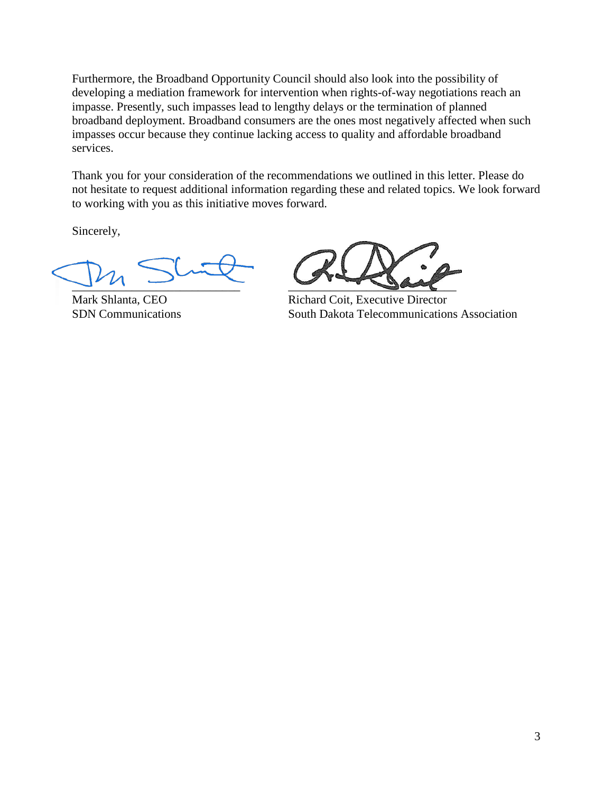Furthermore, the Broadband Opportunity Council should also look into the possibility of developing a mediation framework for intervention when rights-of-way negotiations reach an impasse. Presently, such impasses lead to lengthy delays or the termination of planned broadband deployment. Broadband consumers are the ones most negatively affected when such impasses occur because they continue lacking access to quality and affordable broadband services.

Thank you for your consideration of the recommendations we outlined in this letter. Please do not hesitate to request additional information regarding these and related topics. We look forward to working with you as this initiative moves forward.

Sincerely,

 $\frac{1}{2}$ 

Mark Shlanta, CEO Richard Coit, Executive Director SDN Communications South Dakota Telecommunications Association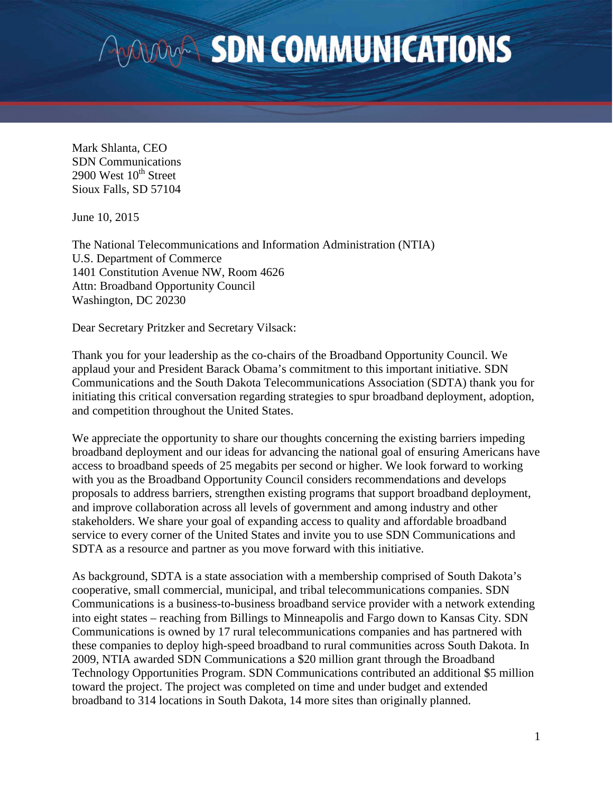# **WAVARA SDN COMMUNICATIONS**

Mark Shlanta, CEO SDN Communications 2900 West  $10^{th}$  Street Sioux Falls, SD 57104

June 10, 2015

The National Telecommunications and Information Administration (NTIA) U.S. Department of Commerce 1401 Constitution Avenue NW, Room 4626 Attn: Broadband Opportunity Council Washington, DC 20230

Dear Secretary Pritzker and Secretary Vilsack:

Thank you for your leadership as the co-chairs of the Broadband Opportunity Council. We applaud your and President Barack Obama's commitment to this important initiative. SDN Communications and the South Dakota Telecommunications Association (SDTA) thank you for initiating this critical conversation regarding strategies to spur broadband deployment, adoption, and competition throughout the United States.

We appreciate the opportunity to share our thoughts concerning the existing barriers impeding broadband deployment and our ideas for advancing the national goal of ensuring Americans have access to broadband speeds of 25 megabits per second or higher. We look forward to working with you as the Broadband Opportunity Council considers recommendations and develops proposals to address barriers, strengthen existing programs that support broadband deployment, and improve collaboration across all levels of government and among industry and other stakeholders. We share your goal of expanding access to quality and affordable broadband service to every corner of the United States and invite you to use SDN Communications and SDTA as a resource and partner as you move forward with this initiative.

As background, SDTA is a state association with a membership comprised of South Dakota's cooperative, small commercial, municipal, and tribal telecommunications companies. SDN Communications is a business-to-business broadband service provider with a network extending into eight states – reaching from Billings to Minneapolis and Fargo down to Kansas City. SDN Communications is owned by 17 rural telecommunications companies and has partnered with these companies to deploy high-speed broadband to rural communities across South Dakota. In 2009, NTIA awarded SDN Communications a \$20 million grant through the Broadband Technology Opportunities Program. SDN Communications contributed an additional \$5 million toward the project. The project was completed on time and under budget and extended broadband to 314 locations in South Dakota, 14 more sites than originally planned.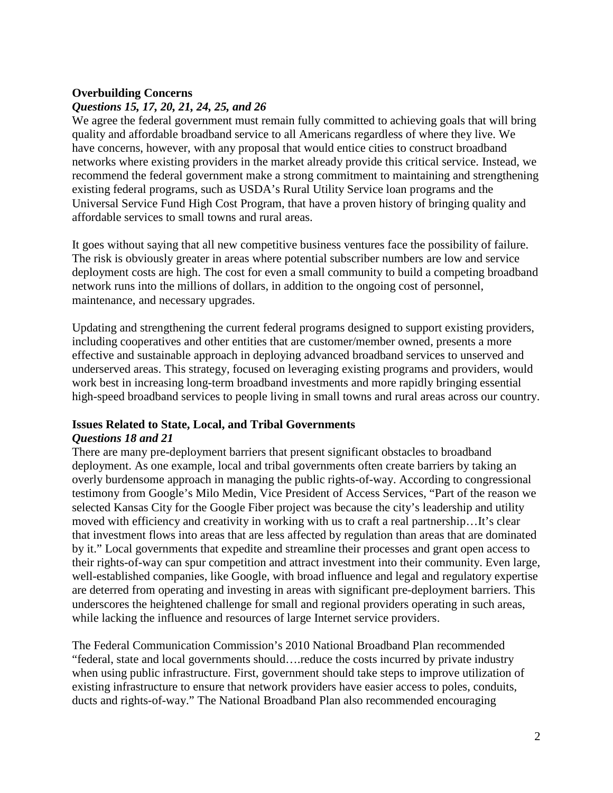# **Overbuilding Concerns**

# *Questions 15, 17, 20, 21, 24, 25, and 26*

We agree the federal government must remain fully committed to achieving goals that will bring quality and affordable broadband service to all Americans regardless of where they live. We have concerns, however, with any proposal that would entice cities to construct broadband networks where existing providers in the market already provide this critical service. Instead, we recommend the federal government make a strong commitment to maintaining and strengthening existing federal programs, such as USDA's Rural Utility Service loan programs and the Universal Service Fund High Cost Program, that have a proven history of bringing quality and affordable services to small towns and rural areas.

It goes without saying that all new competitive business ventures face the possibility of failure. The risk is obviously greater in areas where potential subscriber numbers are low and service deployment costs are high. The cost for even a small community to build a competing broadband network runs into the millions of dollars, in addition to the ongoing cost of personnel, maintenance, and necessary upgrades.

Updating and strengthening the current federal programs designed to support existing providers, including cooperatives and other entities that are customer/member owned, presents a more effective and sustainable approach in deploying advanced broadband services to unserved and underserved areas. This strategy, focused on leveraging existing programs and providers, would work best in increasing long-term broadband investments and more rapidly bringing essential high-speed broadband services to people living in small towns and rural areas across our country.

#### **Issues Related to State, Local, and Tribal Governments** *Questions 18 and 21*

There are many pre-deployment barriers that present significant obstacles to broadband deployment. As one example, local and tribal governments often create barriers by taking an overly burdensome approach in managing the public rights-of-way. According to congressional testimony from Google's Milo Medin, Vice President of Access Services, "Part of the reason we selected Kansas City for the Google Fiber project was because the city's leadership and utility moved with efficiency and creativity in working with us to craft a real partnership…It's clear that investment flows into areas that are less affected by regulation than areas that are dominated by it." Local governments that expedite and streamline their processes and grant open access to their rights-of-way can spur competition and attract investment into their community. Even large, well-established companies, like Google, with broad influence and legal and regulatory expertise are deterred from operating and investing in areas with significant pre-deployment barriers. This underscores the heightened challenge for small and regional providers operating in such areas, while lacking the influence and resources of large Internet service providers.

The Federal Communication Commission's 2010 National Broadband Plan recommended "federal, state and local governments should….reduce the costs incurred by private industry when using public infrastructure. First, government should take steps to improve utilization of existing infrastructure to ensure that network providers have easier access to poles, conduits, ducts and rights-of-way." The National Broadband Plan also recommended encouraging